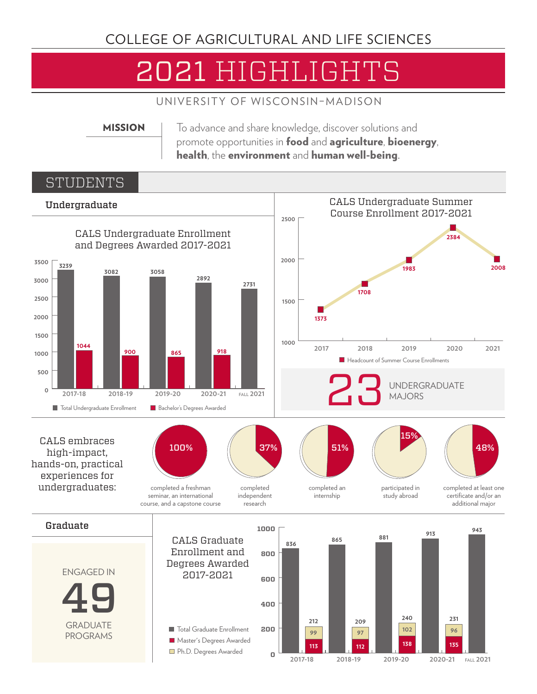## COLLEGE OF AGRICULTURAL AND LIFE SCIENCES

# 2021 HIGHLIGHTS

UNIVERSITY OF WISCONSIN–MADISON

MISSION To advance and share knowledge, discover solutions and promote opportunities in food and agriculture, bioenergy, health, the environment and human well-being.

#### STUDENTS